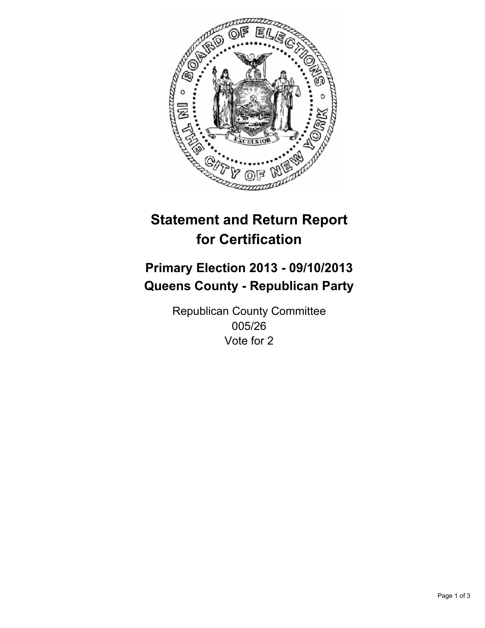

# **Statement and Return Report for Certification**

## **Primary Election 2013 - 09/10/2013 Queens County - Republican Party**

Republican County Committee 005/26 Vote for 2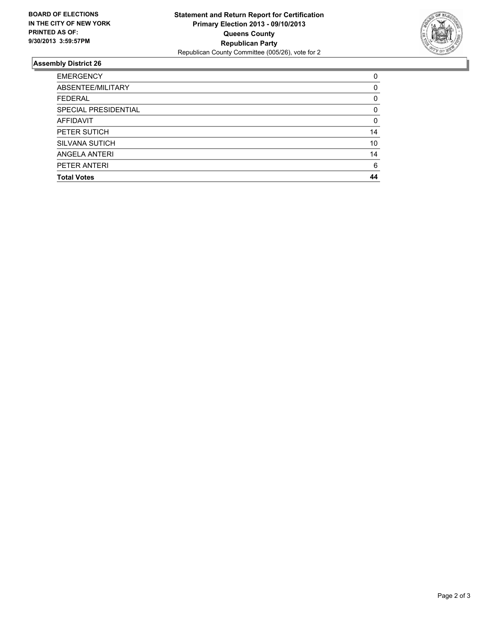

### **Assembly District 26**

| <b>EMERGENCY</b>      | 0  |
|-----------------------|----|
| ABSENTEE/MILITARY     | 0  |
| <b>FEDERAL</b>        | 0  |
| SPECIAL PRESIDENTIAL  | 0  |
| AFFIDAVIT             | 0  |
| PETER SUTICH          | 14 |
| <b>SILVANA SUTICH</b> | 10 |
| ANGELA ANTERI         | 14 |
| PETER ANTERI          | 6  |
| <b>Total Votes</b>    | 44 |